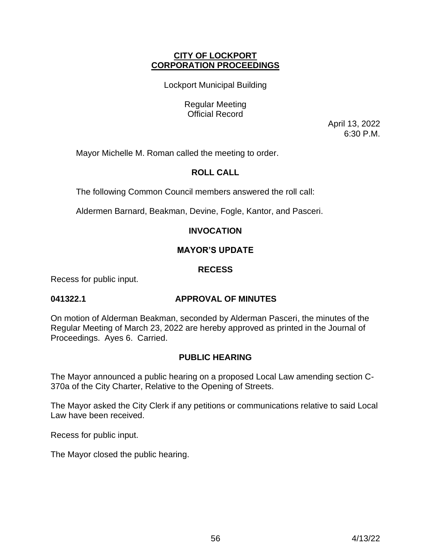# **CITY OF LOCKPORT CORPORATION PROCEEDINGS**

Lockport Municipal Building

Regular Meeting Official Record

> April 13, 2022 6:30 P.M.

Mayor Michelle M. Roman called the meeting to order.

# **ROLL CALL**

The following Common Council members answered the roll call:

Aldermen Barnard, Beakman, Devine, Fogle, Kantor, and Pasceri.

# **INVOCATION**

# **MAYOR'S UPDATE**

# **RECESS**

Recess for public input.

# **041322.1 APPROVAL OF MINUTES**

On motion of Alderman Beakman, seconded by Alderman Pasceri, the minutes of the Regular Meeting of March 23, 2022 are hereby approved as printed in the Journal of Proceedings. Ayes 6. Carried.

# **PUBLIC HEARING**

The Mayor announced a public hearing on a proposed Local Law amending section C-370a of the City Charter, Relative to the Opening of Streets.

The Mayor asked the City Clerk if any petitions or communications relative to said Local Law have been received.

Recess for public input.

The Mayor closed the public hearing.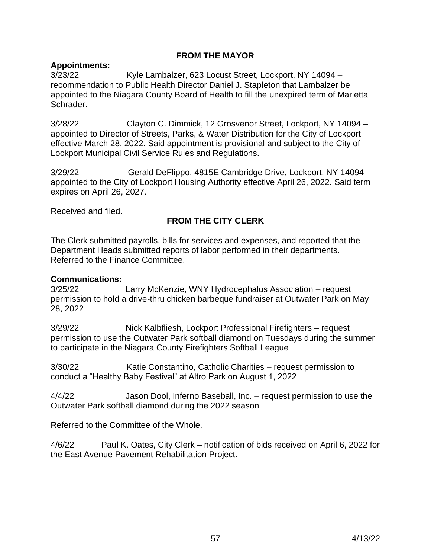# **FROM THE MAYOR**

# **Appointments:**

3/23/22 Kyle Lambalzer, 623 Locust Street, Lockport, NY 14094 – recommendation to Public Health Director Daniel J. Stapleton that Lambalzer be appointed to the Niagara County Board of Health to fill the unexpired term of Marietta Schrader.

3/28/22 Clayton C. Dimmick, 12 Grosvenor Street, Lockport, NY 14094 – appointed to Director of Streets, Parks, & Water Distribution for the City of Lockport effective March 28, 2022. Said appointment is provisional and subject to the City of Lockport Municipal Civil Service Rules and Regulations.

3/29/22 Gerald DeFlippo, 4815E Cambridge Drive, Lockport, NY 14094 – appointed to the City of Lockport Housing Authority effective April 26, 2022. Said term expires on April 26, 2027.

Received and filed.

# **FROM THE CITY CLERK**

The Clerk submitted payrolls, bills for services and expenses, and reported that the Department Heads submitted reports of labor performed in their departments. Referred to the Finance Committee.

## **Communications:**

3/25/22 Larry McKenzie, WNY Hydrocephalus Association – request permission to hold a drive-thru chicken barbeque fundraiser at Outwater Park on May 28, 2022

3/29/22 Nick Kalbfliesh, Lockport Professional Firefighters – request permission to use the Outwater Park softball diamond on Tuesdays during the summer to participate in the Niagara County Firefighters Softball League

3/30/22 Katie Constantino, Catholic Charities – request permission to conduct a "Healthy Baby Festival" at Altro Park on August 1, 2022

4/4/22 Jason Dool, Inferno Baseball, Inc. – request permission to use the Outwater Park softball diamond during the 2022 season

Referred to the Committee of the Whole.

4/6/22 Paul K. Oates, City Clerk – notification of bids received on April 6, 2022 for the East Avenue Pavement Rehabilitation Project.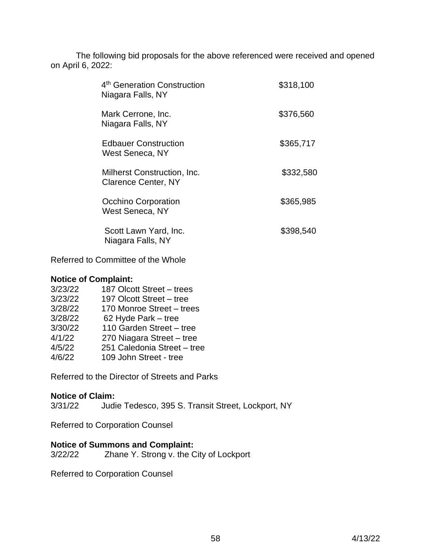The following bid proposals for the above referenced were received and opened on April 6, 2022:

| 4 <sup>th</sup> Generation Construction<br>Niagara Falls, NY | \$318,100 |
|--------------------------------------------------------------|-----------|
| Mark Cerrone, Inc.<br>Niagara Falls, NY                      | \$376,560 |
| <b>Edbauer Construction</b><br>West Seneca, NY               | \$365,717 |
| Milherst Construction, Inc.<br><b>Clarence Center, NY</b>    | \$332,580 |
| <b>Occhino Corporation</b><br>West Seneca, NY                | \$365,985 |
| Scott Lawn Yard, Inc.<br>Niagara Falls, NY                   | \$398,540 |

Referred to Committee of the Whole

#### **Notice of Complaint:**

| 3/23/22 | 187 Olcott Street - trees   |
|---------|-----------------------------|
| 3/23/22 | 197 Olcott Street - tree    |
| 3/28/22 | 170 Monroe Street - trees   |
| 3/28/22 | 62 Hyde Park - tree         |
| 3/30/22 | 110 Garden Street - tree    |
| 4/1/22  | 270 Niagara Street - tree   |
| 4/5/22  | 251 Caledonia Street - tree |
| 4/6/22  | 109 John Street - tree      |
|         |                             |

Referred to the Director of Streets and Parks

# **Notice of Claim:**

3/31/22 Judie Tedesco, 395 S. Transit Street, Lockport, NY

Referred to Corporation Counsel

# **Notice of Summons and Complaint:**

3/22/22 Zhane Y. Strong v. the City of Lockport

Referred to Corporation Counsel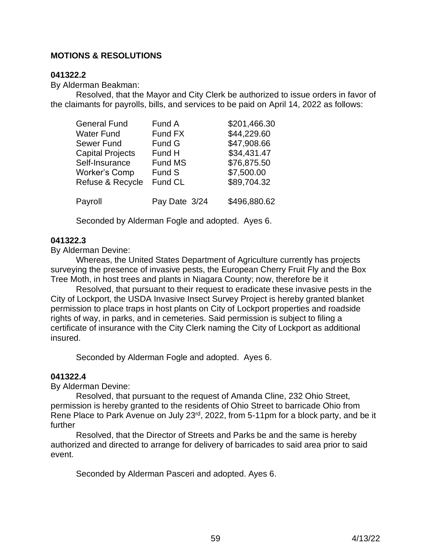# **MOTIONS & RESOLUTIONS**

## **041322.2**

By Alderman Beakman:

Resolved, that the Mayor and City Clerk be authorized to issue orders in favor of the claimants for payrolls, bills, and services to be paid on April 14, 2022 as follows:

| <b>General Fund</b>     | Fund A        | \$201,466.30 |
|-------------------------|---------------|--------------|
| Water Fund              | Fund FX       | \$44,229.60  |
| Sewer Fund              | Fund G        | \$47,908.66  |
| <b>Capital Projects</b> | Fund H        | \$34,431.47  |
| Self-Insurance          | Fund MS       | \$76,875.50  |
| <b>Worker's Comp</b>    | Fund S        | \$7,500.00   |
| Refuse & Recycle        | Fund CL       | \$89,704.32  |
| Payroll                 | Pay Date 3/24 | \$496,880.62 |

Seconded by Alderman Fogle and adopted. Ayes 6.

## **041322.3**

By Alderman Devine:

Whereas, the United States Department of Agriculture currently has projects surveying the presence of invasive pests, the European Cherry Fruit Fly and the Box Tree Moth, in host trees and plants in Niagara County; now, therefore be it

Resolved, that pursuant to their request to eradicate these invasive pests in the City of Lockport, the USDA Invasive Insect Survey Project is hereby granted blanket permission to place traps in host plants on City of Lockport properties and roadside rights of way, in parks, and in cemeteries. Said permission is subject to filing a certificate of insurance with the City Clerk naming the City of Lockport as additional insured.

Seconded by Alderman Fogle and adopted. Ayes 6.

#### **041322.4**

By Alderman Devine:

Resolved, that pursuant to the request of Amanda Cline, 232 Ohio Street, permission is hereby granted to the residents of Ohio Street to barricade Ohio from Rene Place to Park Avenue on July 23<sup>rd</sup>, 2022, from 5-11pm for a block party, and be it further

Resolved, that the Director of Streets and Parks be and the same is hereby authorized and directed to arrange for delivery of barricades to said area prior to said event.

Seconded by Alderman Pasceri and adopted. Ayes 6.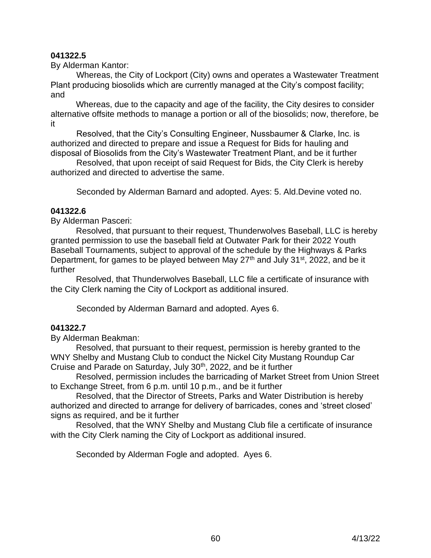# **041322.5**

By Alderman Kantor:

 Whereas, the City of Lockport (City) owns and operates a Wastewater Treatment Plant producing biosolids which are currently managed at the City's compost facility; and

Whereas, due to the capacity and age of the facility, the City desires to consider alternative offsite methods to manage a portion or all of the biosolids; now, therefore, be it

 Resolved, that the City's Consulting Engineer, Nussbaumer & Clarke, Inc. is authorized and directed to prepare and issue a Request for Bids for hauling and disposal of Biosolids from the City's Wastewater Treatment Plant, and be it further

 Resolved, that upon receipt of said Request for Bids, the City Clerk is hereby authorized and directed to advertise the same.

Seconded by Alderman Barnard and adopted. Ayes: 5. Ald.Devine voted no.

## **041322.6**

By Alderman Pasceri:

Resolved, that pursuant to their request, Thunderwolves Baseball, LLC is hereby granted permission to use the baseball field at Outwater Park for their 2022 Youth Baseball Tournaments, subject to approval of the schedule by the Highways & Parks Department, for games to be played between May  $27<sup>th</sup>$  and July 31<sup>st</sup>, 2022, and be it further

Resolved, that Thunderwolves Baseball, LLC file a certificate of insurance with the City Clerk naming the City of Lockport as additional insured.

Seconded by Alderman Barnard and adopted. Ayes 6.

#### **041322.7**

By Alderman Beakman:

Resolved, that pursuant to their request, permission is hereby granted to the WNY Shelby and Mustang Club to conduct the Nickel City Mustang Roundup Car Cruise and Parade on Saturday, July 30<sup>th</sup>, 2022, and be it further

Resolved, permission includes the barricading of Market Street from Union Street to Exchange Street, from 6 p.m. until 10 p.m., and be it further

Resolved, that the Director of Streets, Parks and Water Distribution is hereby authorized and directed to arrange for delivery of barricades, cones and 'street closed' signs as required, and be it further

Resolved, that the WNY Shelby and Mustang Club file a certificate of insurance with the City Clerk naming the City of Lockport as additional insured.

Seconded by Alderman Fogle and adopted. Ayes 6.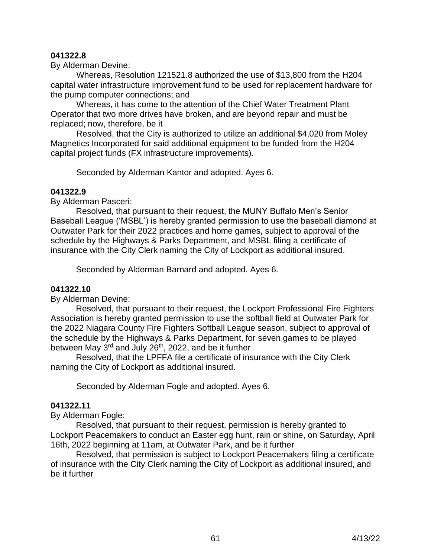## **041322.8**

By Alderman Devine:

 Whereas, Resolution 121521.8 authorized the use of \$13,800 from the H204 capital water infrastructure improvement fund to be used for replacement hardware for the pump computer connections; and

 Whereas, it has come to the attention of the Chief Water Treatment Plant Operator that two more drives have broken, and are beyond repair and must be replaced; now, therefore, be it

 Resolved, that the City is authorized to utilize an additional \$4,020 from Moley Magnetics Incorporated for said additional equipment to be funded from the H204 capital project funds (FX infrastructure improvements).

Seconded by Alderman Kantor and adopted. Ayes 6.

#### **041322.9**

By Alderman Pasceri:

Resolved, that pursuant to their request, the MUNY Buffalo Men's Senior Baseball League ('MSBL') is hereby granted permission to use the baseball diamond at Outwater Park for their 2022 practices and home games, subject to approval of the schedule by the Highways & Parks Department, and MSBL filing a certificate of insurance with the City Clerk naming the City of Lockport as additional insured.

Seconded by Alderman Barnard and adopted. Ayes 6.

# **041322.10**

By Alderman Devine:

Resolved, that pursuant to their request, the Lockport Professional Fire Fighters Association is hereby granted permission to use the softball field at Outwater Park for the 2022 Niagara County Fire Fighters Softball League season, subject to approval of the schedule by the Highways & Parks Department, for seven games to be played between May 3<sup>rd</sup> and July 26<sup>th</sup>, 2022, and be it further

Resolved, that the LPFFA file a certificate of insurance with the City Clerk naming the City of Lockport as additional insured.

Seconded by Alderman Fogle and adopted. Ayes 6.

#### **041322.11**

By Alderman Fogle:

Resolved, that pursuant to their request, permission is hereby granted to Lockport Peacemakers to conduct an Easter egg hunt, rain or shine, on Saturday, April 16th, 2022 beginning at 11am, at Outwater Park, and be it further

Resolved, that permission is subject to Lockport Peacemakers filing a certificate of insurance with the City Clerk naming the City of Lockport as additional insured, and be it further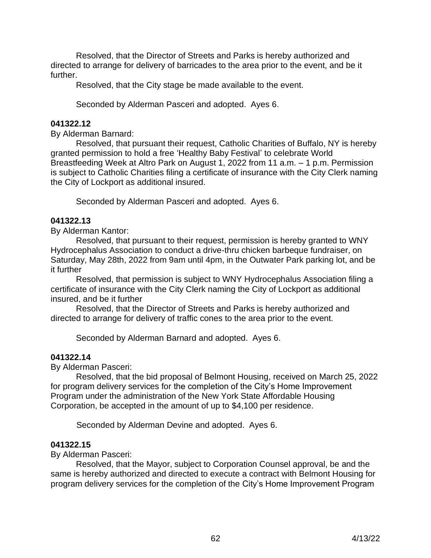Resolved, that the Director of Streets and Parks is hereby authorized and directed to arrange for delivery of barricades to the area prior to the event, and be it further.

Resolved, that the City stage be made available to the event.

Seconded by Alderman Pasceri and adopted. Ayes 6.

#### **041322.12**

By Alderman Barnard:

Resolved, that pursuant their request, Catholic Charities of Buffalo, NY is hereby granted permission to hold a free 'Healthy Baby Festival' to celebrate World Breastfeeding Week at Altro Park on August 1, 2022 from 11 a.m. – 1 p.m. Permission is subject to Catholic Charities filing a certificate of insurance with the City Clerk naming the City of Lockport as additional insured.

Seconded by Alderman Pasceri and adopted. Ayes 6.

#### **041322.13**

By Alderman Kantor:

Resolved, that pursuant to their request, permission is hereby granted to WNY Hydrocephalus Association to conduct a drive-thru chicken barbeque fundraiser, on Saturday, May 28th, 2022 from 9am until 4pm, in the Outwater Park parking lot, and be it further

Resolved, that permission is subject to WNY Hydrocephalus Association filing a certificate of insurance with the City Clerk naming the City of Lockport as additional insured, and be it further

Resolved, that the Director of Streets and Parks is hereby authorized and directed to arrange for delivery of traffic cones to the area prior to the event.

Seconded by Alderman Barnard and adopted. Ayes 6.

#### **041322.14**

By Alderman Pasceri:

Resolved, that the bid proposal of Belmont Housing, received on March 25, 2022 for program delivery services for the completion of the City's Home Improvement Program under the administration of the New York State Affordable Housing Corporation, be accepted in the amount of up to \$4,100 per residence.

Seconded by Alderman Devine and adopted. Ayes 6.

#### **041322.15**

By Alderman Pasceri:

Resolved, that the Mayor, subject to Corporation Counsel approval, be and the same is hereby authorized and directed to execute a contract with Belmont Housing for program delivery services for the completion of the City's Home Improvement Program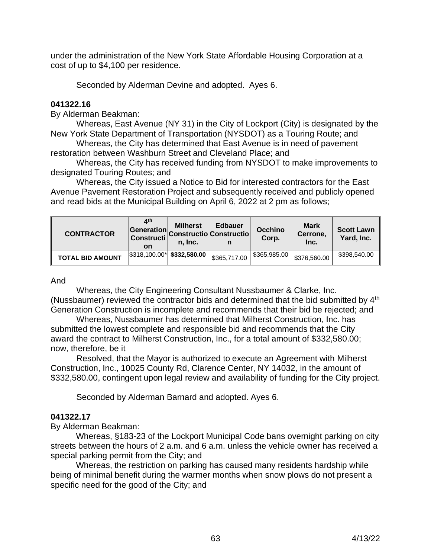under the administration of the New York State Affordable Housing Corporation at a cost of up to \$4,100 per residence.

Seconded by Alderman Devine and adopted. Ayes 6.

# **041322.16**

By Alderman Beakman:

 Whereas, East Avenue (NY 31) in the City of Lockport (City) is designated by the New York State Department of Transportation (NYSDOT) as a Touring Route; and

 Whereas, the City has determined that East Avenue is in need of pavement restoration between Washburn Street and Cleveland Place; and

 Whereas, the City has received funding from NYSDOT to make improvements to designated Touring Routes; and

 Whereas, the City issued a Notice to Bid for interested contractors for the East Avenue Pavement Restoration Project and subsequently received and publicly opened and read bids at the Municipal Building on April 6, 2022 at 2 pm as follows;

| <b>CONTRACTOR</b>       | ⊿th<br>on                          | <b>Milherst</b><br>n. Inc. | <b>Edbauer</b><br>Generation Constructio Constructio | <b>Occhino</b><br>Corp. | <b>Mark</b><br>Cerrone,<br>Inc. | <b>Scott Lawn</b><br>Yard, Inc. |
|-------------------------|------------------------------------|----------------------------|------------------------------------------------------|-------------------------|---------------------------------|---------------------------------|
| <b>TOTAL BID AMOUNT</b> | $$318,100.00^{\ast}$$ \$332,580.00 |                            | \$365,717.00                                         | \$365,985.00            | \$376,560.00                    | \$398,540.00                    |

#### And

 Whereas, the City Engineering Consultant Nussbaumer & Clarke, Inc. (Nussbaumer) reviewed the contractor bids and determined that the bid submitted by 4<sup>th</sup> Generation Construction is incomplete and recommends that their bid be rejected; and

 Whereas, Nussbaumer has determined that Milherst Construction, Inc. has submitted the lowest complete and responsible bid and recommends that the City award the contract to Milherst Construction, Inc., for a total amount of \$332,580.00; now, therefore, be it

 Resolved, that the Mayor is authorized to execute an Agreement with Milherst Construction, Inc., 10025 County Rd, Clarence Center, NY 14032, in the amount of \$332,580.00, contingent upon legal review and availability of funding for the City project.

Seconded by Alderman Barnard and adopted. Ayes 6.

# **041322.17**

By Alderman Beakman:

Whereas, §183-23 of the Lockport Municipal Code bans overnight parking on city streets between the hours of 2 a.m. and 6 a.m. unless the vehicle owner has received a special parking permit from the City; and

Whereas, the restriction on parking has caused many residents hardship while being of minimal benefit during the warmer months when snow plows do not present a specific need for the good of the City; and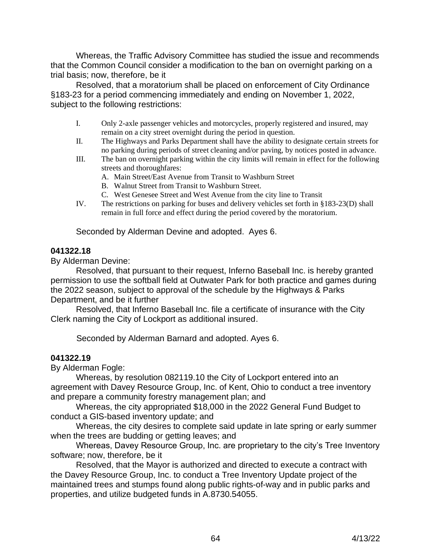Whereas, the Traffic Advisory Committee has studied the issue and recommends that the Common Council consider a modification to the ban on overnight parking on a trial basis; now, therefore, be it

Resolved, that a moratorium shall be placed on enforcement of City Ordinance §183-23 for a period commencing immediately and ending on November 1, 2022, subject to the following restrictions:

- I. Only 2-axle passenger vehicles and motorcycles, properly registered and insured, may remain on a city street overnight during the period in question.
- II. The Highways and Parks Department shall have the ability to designate certain streets for no parking during periods of street cleaning and/or paving, by notices posted in advance.
- III. The ban on overnight parking within the city limits will remain in effect for the following streets and thoroughfares:
	- A. Main Street/East Avenue from Transit to Washburn Street
	- B. Walnut Street from Transit to Washburn Street.
	- C. West Genesee Street and West Avenue from the city line to Transit
- IV. The restrictions on parking for buses and delivery vehicles set forth in §183-23(D) shall remain in full force and effect during the period covered by the moratorium.

Seconded by Alderman Devine and adopted. Ayes 6.

# **041322.18**

By Alderman Devine:

Resolved, that pursuant to their request, Inferno Baseball Inc. is hereby granted permission to use the softball field at Outwater Park for both practice and games during the 2022 season, subject to approval of the schedule by the Highways & Parks Department, and be it further

Resolved, that Inferno Baseball Inc. file a certificate of insurance with the City Clerk naming the City of Lockport as additional insured.

Seconded by Alderman Barnard and adopted. Ayes 6.

# **041322.19**

By Alderman Fogle:

Whereas, by resolution 082119.10 the City of Lockport entered into an agreement with Davey Resource Group, Inc. of Kent, Ohio to conduct a tree inventory and prepare a community forestry management plan; and

Whereas, the city appropriated \$18,000 in the 2022 General Fund Budget to conduct a GIS-based inventory update; and

Whereas, the city desires to complete said update in late spring or early summer when the trees are budding or getting leaves; and

Whereas, Davey Resource Group, Inc. are proprietary to the city's Tree Inventory software; now, therefore, be it

Resolved, that the Mayor is authorized and directed to execute a contract with the Davey Resource Group, Inc. to conduct a Tree Inventory Update project of the maintained trees and stumps found along public rights-of-way and in public parks and properties, and utilize budgeted funds in A.8730.54055.